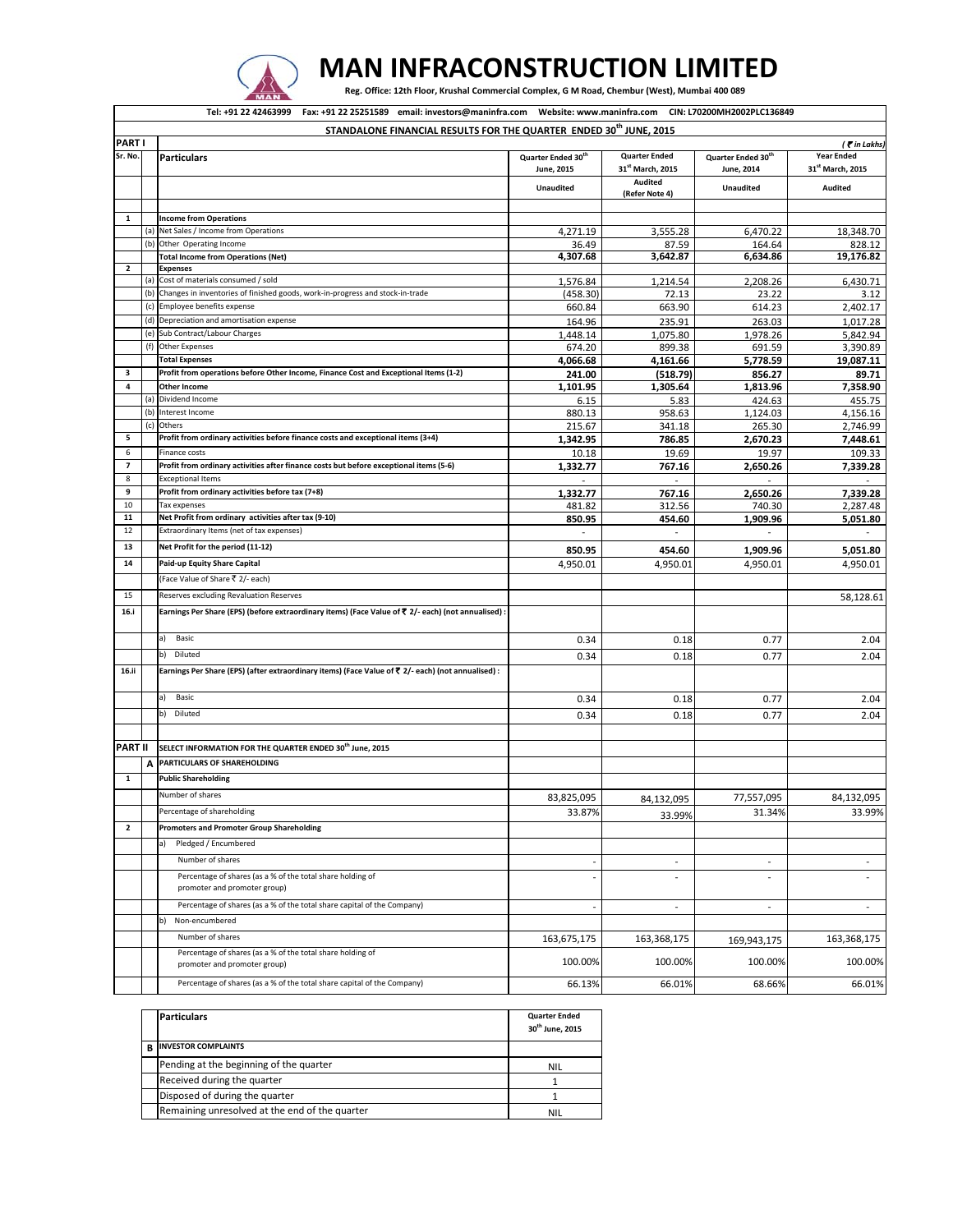

## **MAN INFRACONSTRUCTION LIMITED**

Reg. Office: 12th Floor, Krushal Commercial Complex, G M Road, Chembur (West), Mumbai 400 089

|                          |     | Tel: +91 22 42463999  Fax: +91 22 25251589  email: investors@maninfra.com  Website: www.maninfra.com  CIN: L70200MH2002PLC136849 |                                              |                                                      |                                              |                                       |
|--------------------------|-----|----------------------------------------------------------------------------------------------------------------------------------|----------------------------------------------|------------------------------------------------------|----------------------------------------------|---------------------------------------|
|                          |     | STANDALONE FINANCIAL RESULTS FOR THE QUARTER ENDED 30 <sup>th</sup> JUNE, 2015                                                   |                                              |                                                      |                                              |                                       |
| <b>PARTI</b>             |     |                                                                                                                                  |                                              |                                                      |                                              | ( Tin Lakhs)                          |
| Sr. No.                  |     | <b>Particulars</b>                                                                                                               | Quarter Ended 30 <sup>th</sup><br>June, 2015 | <b>Quarter Ended</b><br>31 <sup>st</sup> March, 2015 | Quarter Ended 30 <sup>th</sup><br>June, 2014 | <b>Year Ended</b><br>31st March, 2015 |
|                          |     |                                                                                                                                  | <b>Unaudited</b>                             | Audited<br>(Refer Note 4)                            | <b>Unaudited</b>                             | <b>Audited</b>                        |
|                          |     |                                                                                                                                  |                                              |                                                      |                                              |                                       |
| $\mathbf{1}$             |     | <b>Income from Operations</b>                                                                                                    |                                              |                                                      |                                              |                                       |
|                          |     | (a) Net Sales / Income from Operations                                                                                           | 4,271.19                                     | 3,555.28                                             | 6,470.22                                     | 18,348.70                             |
|                          | (b) | Other Operating Income                                                                                                           | 36.49                                        | 87.59                                                | 164.64                                       | 828.12                                |
|                          |     | <b>Total Income from Operations (Net)</b>                                                                                        | 4,307.68                                     | 3,642.87                                             | 6,634.86                                     | 19,176.82                             |
| $\overline{2}$           |     | <b>Expenses</b><br>(a) Cost of materials consumed / sold                                                                         | 1,576.84                                     | 1,214.54                                             | 2,208.26                                     | 6,430.71                              |
|                          |     | (b) Changes in inventories of finished goods, work-in-progress and stock-in-trade                                                | (458.30)                                     | 72.13                                                | 23.22                                        | 3.12                                  |
|                          |     | (c) Employee benefits expense                                                                                                    | 660.84                                       | 663.90                                               | 614.23                                       | 2,402.17                              |
|                          |     | (d) Depreciation and amortisation expense                                                                                        | 164.96                                       | 235.91                                               | 263.03                                       | 1,017.28                              |
|                          |     | (e) Sub Contract/Labour Charges                                                                                                  | 1,448.14                                     | 1,075.80                                             | 1,978.26                                     | 5,842.94                              |
|                          |     | (f) Other Expenses                                                                                                               | 674.20                                       | 899.38                                               | 691.59                                       | 3,390.89                              |
|                          |     | <b>Total Expenses</b>                                                                                                            | 4,066.68                                     | 4,161.66                                             | 5,778.59                                     | 19,087.11                             |
| 3                        |     | Profit from operations before Other Income, Finance Cost and Exceptional Items (1-2)                                             | 241.00                                       | (518.79)                                             | 856.27                                       | 89.71                                 |
| 4                        |     | <b>Other Income</b>                                                                                                              | 1,101.95                                     | 1,305.64                                             | 1,813.96                                     | 7,358.90                              |
|                          | (a) | Dividend Income                                                                                                                  | 6.15                                         | 5.83                                                 | 424.63                                       | 455.75                                |
|                          | (b) | Interest Income                                                                                                                  | 880.13                                       | 958.63                                               | 1,124.03                                     | 4.156.16                              |
|                          |     | (c) Others                                                                                                                       | 215.67                                       | 341.18                                               | 265.30                                       | 2,746.99                              |
| 5                        |     | Profit from ordinary activities before finance costs and exceptional items (3+4)                                                 | 1,342.95                                     | 786.85                                               | 2,670.23                                     | 7,448.61                              |
| 6                        |     | Finance costs                                                                                                                    | 10.18                                        | 19.69                                                | 19.97                                        | 109.33                                |
| $\overline{\phantom{a}}$ |     | Profit from ordinary activities after finance costs but before exceptional items (5-6)                                           | 1,332.77                                     | 767.16                                               | 2,650.26                                     | 7,339.28                              |
| 8                        |     | <b>Exceptional Items</b>                                                                                                         |                                              |                                                      |                                              |                                       |
| 9                        |     | Profit from ordinary activities before tax (7+8)                                                                                 | 1,332.77                                     | 767.16                                               | 2,650.26                                     | 7,339.28                              |
| 10                       |     | Tax expenses                                                                                                                     | 481.82                                       | 312.56                                               | 740.30                                       | 2,287.48                              |
| 11                       |     | Net Profit from ordinary activities after tax (9-10)                                                                             | 850.95                                       | 454.60                                               | 1,909.96                                     | 5,051.80                              |
| 12                       |     | Extraordinary Items (net of tax expenses)                                                                                        | $\overline{\phantom{a}}$                     | $\overline{\phantom{a}}$                             | $\overline{\phantom{a}}$                     | $\sim$                                |
| 13                       |     | Net Profit for the period (11-12)                                                                                                | 850.95                                       | 454.60                                               | 1,909.96                                     | 5,051.80                              |
| 14                       |     | Paid-up Equity Share Capital                                                                                                     | 4,950.01                                     | 4,950.01                                             | 4,950.01                                     | 4,950.01                              |
|                          |     | (Face Value of Share ₹ 2/- each)                                                                                                 |                                              |                                                      |                                              |                                       |
|                          |     |                                                                                                                                  |                                              |                                                      |                                              |                                       |
| 15                       |     | Reserves excluding Revaluation Reserves                                                                                          |                                              |                                                      |                                              | 58,128.61                             |
| 16.i                     |     | Earnings Per Share (EPS) (before extraordinary items) (Face Value of ₹ 2/- each) (not annualised) :                              |                                              |                                                      |                                              |                                       |
|                          |     | a)<br>Basic                                                                                                                      | 0.34                                         | 0.18                                                 | 0.77                                         | 2.04                                  |
|                          |     | b)<br>Diluted                                                                                                                    | 0.34                                         | 0.18                                                 | 0.77                                         | 2.04                                  |
| 16.ii                    |     | Earnings Per Share (EPS) (after extraordinary items) (Face Value of ₹ 2/- each) (not annualised) :                               |                                              |                                                      |                                              |                                       |
|                          |     | a)<br>Basic                                                                                                                      | 0.34                                         | 0.18                                                 | 0.77                                         | 2.04                                  |
|                          |     | b)<br>Diluted                                                                                                                    | 0.34                                         | 0.18                                                 | 0.77                                         | 2.04                                  |
|                          |     |                                                                                                                                  |                                              |                                                      |                                              |                                       |
|                          |     |                                                                                                                                  |                                              |                                                      |                                              |                                       |
| PART II                  |     | SELECT INFORMATION FOR THE QUARTER ENDED 30 <sup>th</sup> June, 2015                                                             |                                              |                                                      |                                              |                                       |
|                          | Α   | PARTICULARS OF SHAREHOLDING                                                                                                      |                                              |                                                      |                                              |                                       |
| $\mathbf{1}$             |     | <b>Public Shareholding</b>                                                                                                       |                                              |                                                      |                                              |                                       |
|                          |     | Number of shares                                                                                                                 | 83,825,095                                   | 84,132,095                                           | 77,557,095                                   | 84,132,095                            |
|                          |     | Percentage of shareholding                                                                                                       | 33.87%                                       | 33.99%                                               | 31.34%                                       | 33.99%                                |
| $\overline{2}$           |     | <b>Promoters and Promoter Group Shareholding</b>                                                                                 |                                              |                                                      |                                              |                                       |
|                          |     | Pledged / Encumbered<br>a)                                                                                                       |                                              |                                                      |                                              |                                       |
|                          |     | Number of shares                                                                                                                 | $\overline{a}$                               | $\overline{a}$                                       | $\sim$                                       | $\sim$                                |
|                          |     | Percentage of shares (as a % of the total share holding of<br>promoter and promoter group)                                       | $\overline{a}$                               | ÷.                                                   | $\overline{a}$                               | $\overline{a}$                        |
|                          |     | Percentage of shares (as a % of the total share capital of the Company)                                                          | $\overline{\phantom{0}}$                     | $\blacksquare$                                       | $\overline{\phantom{a}}$                     | $\overline{\phantom{a}}$              |
|                          |     | b)<br>Non-encumbered                                                                                                             |                                              |                                                      |                                              |                                       |
|                          |     | Number of shares                                                                                                                 | 163,675,175                                  | 163,368,175                                          | 169,943,175                                  | 163,368,175                           |
|                          |     | Percentage of shares (as a % of the total share holding of                                                                       |                                              |                                                      |                                              |                                       |
|                          |     | promoter and promoter group)                                                                                                     | 100.00%                                      | 100.00%                                              | 100.00%                                      | 100.00%                               |
|                          |     | Percentage of shares (as a % of the total share capital of the Company)                                                          | 66.13%                                       | 66.01%                                               | 68.66%                                       | 66.01%                                |

|   | <b>Particulars</b>                             | <b>Quarter Ended</b><br>30 <sup>th</sup> June. 2015 |
|---|------------------------------------------------|-----------------------------------------------------|
| B | <b>INVESTOR COMPLAINTS</b>                     |                                                     |
|   | Pending at the beginning of the quarter        | <b>NIL</b>                                          |
|   | Received during the quarter                    |                                                     |
|   | Disposed of during the quarter                 |                                                     |
|   | Remaining unresolved at the end of the quarter | <b>NIL</b>                                          |